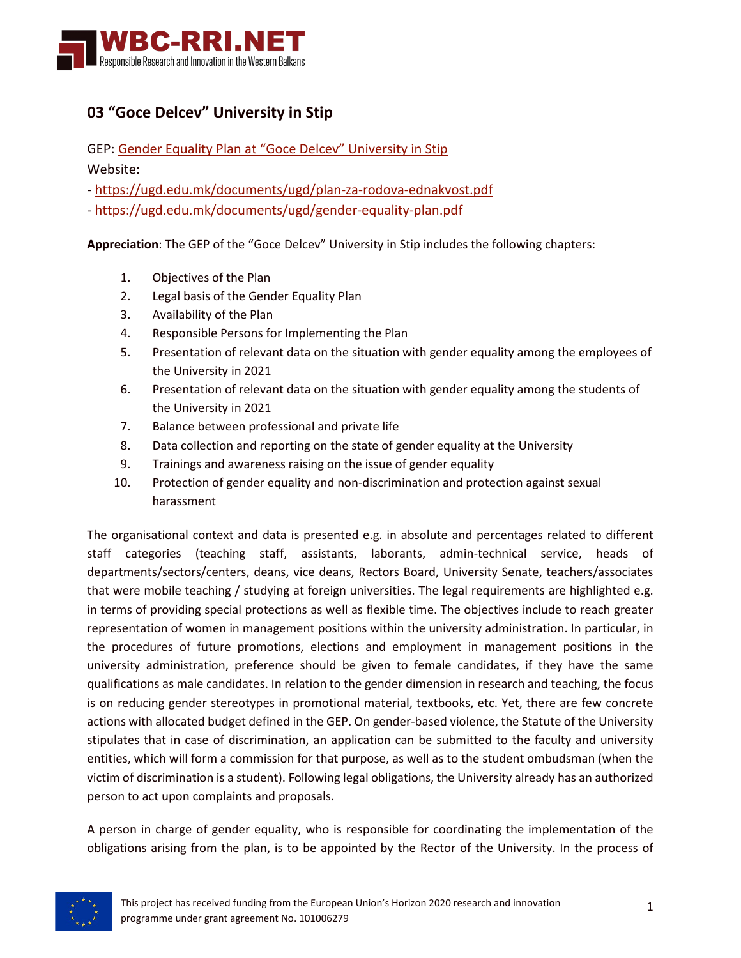

## **03 "Goce Delcev" University in Stip**

GEP: [Gender Equality Plan at "Goce Delcev" University in Stip](https://wbc-rri.net/wp-content/uploads/2022/06/NM-03_gender-equality-plan.pdf)

Website:

- <https://ugd.edu.mk/documents/ugd/plan-za-rodova-ednakvost.pdf>

- <https://ugd.edu.mk/documents/ugd/gender-equality-plan.pdf>

**Appreciation**: The GEP of the "Goce Delcev" University in Stip includes the following chapters:

- 1. Objectives of the Plan
- 2. Legal basis of the Gender Equality Plan
- 3. Availability of the Plan
- 4. Responsible Persons for Implementing the Plan
- 5. Presentation of relevant data on the situation with gender equality among the employees of the University in 2021
- 6. Presentation of relevant data on the situation with gender equality among the students of the University in 2021
- 7. Balance between professional and private life
- 8. Data collection and reporting on the state of gender equality at the University
- 9. Trainings and awareness raising on the issue of gender equality
- 10. Protection of gender equality and non-discrimination and protection against sexual harassment

The organisational context and data is presented e.g. in absolute and percentages related to different staff categories (teaching staff, assistants, laborants, admin-technical service, heads of departments/sectors/centers, deans, vice deans, Rectors Board, University Senate, teachers/associates that were mobile teaching / studying at foreign universities. The legal requirements are highlighted e.g. in terms of providing special protections as well as flexible time. The objectives include to reach greater representation of women in management positions within the university administration. In particular, in the procedures of future promotions, elections and employment in management positions in the university administration, preference should be given to female candidates, if they have the same qualifications as male candidates. In relation to the gender dimension in research and teaching, the focus is on reducing gender stereotypes in promotional material, textbooks, etc. Yet, there are few concrete actions with allocated budget defined in the GEP. On gender-based violence, the Statute of the University stipulates that in case of discrimination, an application can be submitted to the faculty and university entities, which will form a commission for that purpose, as well as to the student ombudsman (when the victim of discrimination is a student). Following legal obligations, the University already has an authorized person to act upon complaints and proposals.

A person in charge of gender equality, who is responsible for coordinating the implementation of the obligations arising from the plan, is to be appointed by the Rector of the University. In the process of